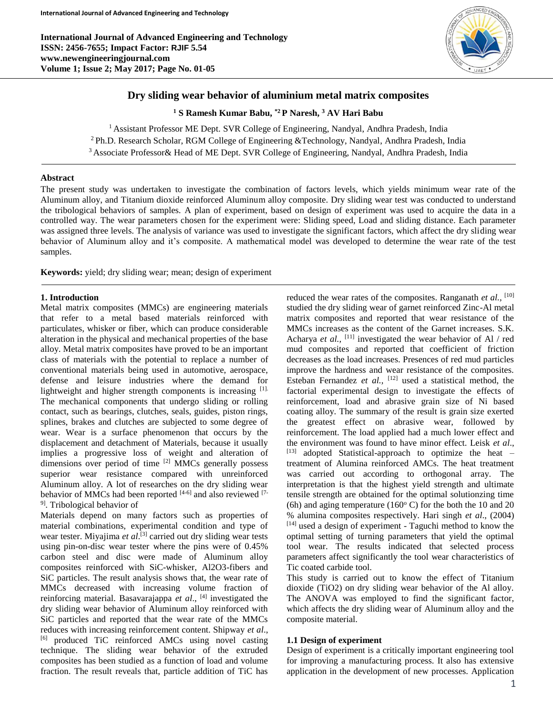

## **Dry sliding wear behavior of aluminium metal matrix composites**

**<sup>1</sup> S Ramesh Kumar Babu, \*2 P Naresh, <sup>3</sup> AV Hari Babu**

<sup>1</sup> Assistant Professor ME Dept. SVR College of Engineering, Nandyal, Andhra Pradesh, India <sup>2</sup> Ph.D. Research Scholar, RGM College of Engineering &Technology, Nandyal, Andhra Pradesh, India <sup>3</sup> Associate Professor& Head of ME Dept. SVR College of Engineering, Nandyal, Andhra Pradesh, India

## **Abstract**

The present study was undertaken to investigate the combination of factors levels, which yields minimum wear rate of the Aluminum alloy, and Titanium dioxide reinforced Aluminum alloy composite. Dry sliding wear test was conducted to understand the tribological behaviors of samples. A plan of experiment, based on design of experiment was used to acquire the data in a controlled way. The wear parameters chosen for the experiment were: Sliding speed, Load and sliding distance. Each parameter was assigned three levels. The analysis of variance was used to investigate the significant factors, which affect the dry sliding wear behavior of Aluminum alloy and it's composite. A mathematical model was developed to determine the wear rate of the test samples.

**Keywords:** yield; dry sliding wear; mean; design of experiment

#### **1. Introduction**

Metal matrix composites (MMCs) are engineering materials that refer to a metal based materials reinforced with particulates, whisker or fiber, which can produce considerable alteration in the physical and mechanical properties of the base alloy. Metal matrix composites have proved to be an important class of materials with the potential to replace a number of conventional materials being used in automotive, aerospace, defense and leisure industries where the demand for lightweight and higher strength components is increasing [1]. The mechanical components that undergo sliding or rolling contact, such as bearings, clutches, seals, guides, piston rings, splines, brakes and clutches are subjected to some degree of wear. Wear is a surface phenomenon that occurs by the displacement and detachment of Materials, because it usually implies a progressive loss of weight and alteration of dimensions over period of time <sup>[2]</sup> MMCs generally possess superior wear resistance compared with unreinforced Aluminum alloy. A lot of researches on the dry sliding wear behavior of MMCs had been reported  $[4-6]$  and also reviewed  $[7-$ <sup>9]</sup>. Tribological behavior of

Materials depend on many factors such as properties of material combinations, experimental condition and type of wear tester. Miyajima *et al*.<sup>[3]</sup> carried out dry sliding wear tests using pin-on-disc wear tester where the pins were of 0.45% carbon steel and disc were made of Aluminum alloy composites reinforced with SiC-whisker, Al2O3-fibers and SiC particles. The result analysis shows that, the wear rate of MMCs decreased with increasing volume fraction of reinforcing material. Basavarajappa *et al*., [4] investigated the dry sliding wear behavior of Aluminum alloy reinforced with SiC particles and reported that the wear rate of the MMCs reduces with increasing reinforcement content. Shipway *et al*., [6] produced TiC reinforced AMCs using novel casting technique. The sliding wear behavior of the extruded composites has been studied as a function of load and volume fraction. The result reveals that, particle addition of TiC has

reduced the wear rates of the composites. Ranganath *et al.*, <sup>[10]</sup> studied the dry sliding wear of garnet reinforced Zinc-Al metal matrix composites and reported that wear resistance of the MMCs increases as the content of the Garnet increases. S.K. Acharya et al., <sup>[11]</sup> investigated the wear behavior of Al / red mud composites and reported that coefficient of friction decreases as the load increases. Presences of red mud particles improve the hardness and wear resistance of the composites. Esteban Fernandez *et al.*, <sup>[12]</sup> used a statistical method, the factorial experimental design to investigate the effects of reinforcement, load and abrasive grain size of Ni based coating alloy. The summary of the result is grain size exerted the greatest effect on abrasive wear, followed by reinforcement. The load applied had a much lower effect and the environment was found to have minor effect. Leisk *et al*.,  $[13]$  adopted Statistical-approach to optimize the heat – treatment of Alumina reinforced AMCs. The heat treatment was carried out according to orthogonal array. The interpretation is that the highest yield strength and ultimate tensile strength are obtained for the optimal solutionzing time (6h) and aging temperature (160 $^{\circ}$  C) for the both the 10 and 20 % alumina composites respectively. Hari singh *et al*., (2004) [14] used a design of experiment - Taguchi method to know the optimal setting of turning parameters that yield the optimal tool wear. The results indicated that selected process parameters affect significantly the tool wear characteristics of Tic coated carbide tool.

This study is carried out to know the effect of Titanium dioxide (TiO2) on dry sliding wear behavior of the Al alloy. The ANOVA was employed to find the significant factor, which affects the dry sliding wear of Aluminum alloy and the composite material.

#### **1.1 Design of experiment**

Design of experiment is a critically important engineering tool for improving a manufacturing process. It also has extensive application in the development of new processes. Application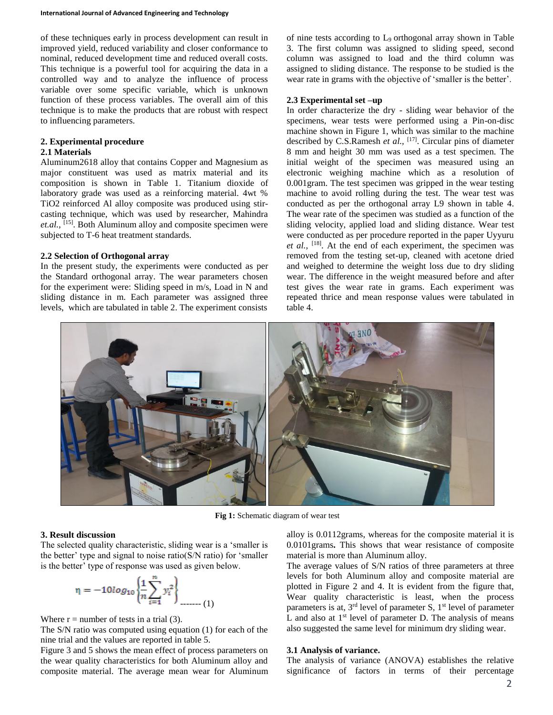of these techniques early in process development can result in improved yield, reduced variability and closer conformance to nominal, reduced development time and reduced overall costs. This technique is a powerful tool for acquiring the data in a controlled way and to analyze the influence of process variable over some specific variable, which is unknown function of these process variables. The overall aim of this technique is to make the products that are robust with respect to influencing parameters.

# **2. Experimental procedure**

## **2.1 Materials**

Aluminum2618 alloy that contains Copper and Magnesium as major constituent was used as matrix material and its composition is shown in Table 1. Titanium dioxide of laboratory grade was used as a reinforcing material. 4wt % TiO2 reinforced Al alloy composite was produced using stircasting technique, which was used by researcher, Mahindra *et.al.,* [15]. Both Aluminum alloy and composite specimen were subjected to T-6 heat treatment standards.

## **2.2 Selection of Orthogonal array**

In the present study, the experiments were conducted as per the Standard orthogonal array. The wear parameters chosen for the experiment were: Sliding speed in m/s, Load in N and sliding distance in m. Each parameter was assigned three levels, which are tabulated in table 2. The experiment consists

of nine tests according to L9 orthogonal array shown in Table 3. The first column was assigned to sliding speed, second column was assigned to load and the third column was assigned to sliding distance. The response to be studied is the wear rate in grams with the objective of 'smaller is the better'.

#### **2.3 Experimental set –up**

In order characterize the dry - sliding wear behavior of the specimens, wear tests were performed using a Pin-on-disc machine shown in Figure 1, which was similar to the machine described by C.S.Ramesh *et al.,* [17]. Circular pins of diameter 8 mm and height 30 mm was used as a test specimen. The initial weight of the specimen was measured using an electronic weighing machine which as a resolution of 0.001gram. The test specimen was gripped in the wear testing machine to avoid rolling during the test. The wear test was conducted as per the orthogonal array L9 shown in table 4. The wear rate of the specimen was studied as a function of the sliding velocity, applied load and sliding distance. Wear test were conducted as per procedure reported in the paper Uyyuru et al., <sup>[18]</sup>. At the end of each experiment, the specimen was removed from the testing set-up, cleaned with acetone dried and weighed to determine the weight loss due to dry sliding wear. The difference in the weight measured before and after test gives the wear rate in grams. Each experiment was repeated thrice and mean response values were tabulated in table 4.



**Fig 1:** Schematic diagram of wear test

# **3. Result discussion**

The selected quality characteristic, sliding wear is a 'smaller is the better' type and signal to noise ratio(S/N ratio) for 'smaller is the better' type of response was used as given below.

$$
\eta = -10\log_{10}\left\{\frac{1}{n}\sum_{i=1}^{n}y_i^2\right\}_{\text{max (1)}}
$$

Where  $r =$  number of tests in a trial (3).

The S/N ratio was computed using equation (1) for each of the nine trial and the values are reported in table 5.

Figure 3 and 5 shows the mean effect of process parameters on the wear quality characteristics for both Aluminum alloy and composite material. The average mean wear for Aluminum

alloy is 0.0112grams, whereas for the composite material it is 0.0101grams**.** This shows that wear resistance of composite material is more than Aluminum alloy.

The average values of S/N ratios of three parameters at three levels for both Aluminum alloy and composite material are plotted in Figure 2 and 4. It is evident from the figure that, Wear quality characteristic is least, when the process parameters is at,  $3<sup>rd</sup>$  level of parameter S,  $1<sup>st</sup>$  level of parameter L and also at  $1<sup>st</sup>$  level of parameter D. The analysis of means also suggested the same level for minimum dry sliding wear.

# **3.1 Analysis of variance.**

The analysis of variance (ANOVA) establishes the relative significance of factors in terms of their percentage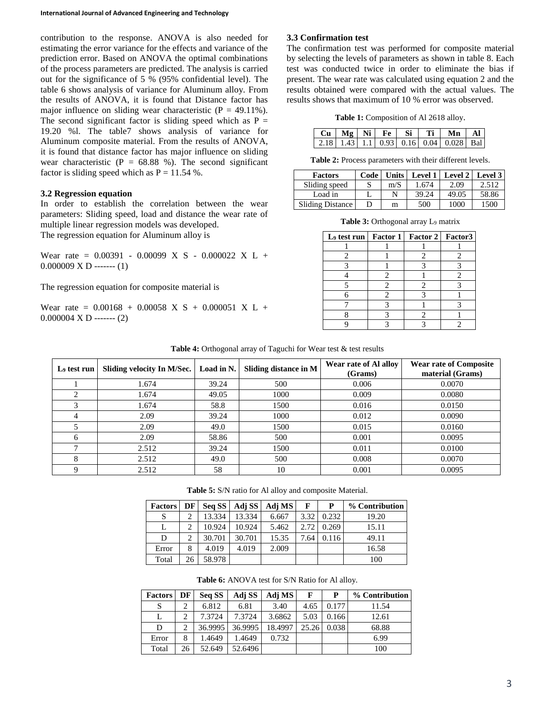contribution to the response. ANOVA is also needed for estimating the error variance for the effects and variance of the prediction error. Based on ANOVA the optimal combinations of the process parameters are predicted. The analysis is carried out for the significance of 5 % (95% confidential level). The table 6 shows analysis of variance for Aluminum alloy. From the results of ANOVA, it is found that Distance factor has major influence on sliding wear characteristic  $(P = 49.11\%)$ . The second significant factor is sliding speed which as  $P =$ 19.20 %l. The table7 shows analysis of variance for Aluminum composite material. From the results of ANOVA, it is found that distance factor has major influence on sliding wear characteristic ( $P = 68.88$  %). The second significant factor is sliding speed which as  $P = 11.54$  %.

## **3.2 Regression equation**

In order to establish the correlation between the wear parameters: Sliding speed, load and distance the wear rate of multiple linear regression models was developed. The regression equation for Aluminum alloy is

Wear rate =  $0.00391 - 0.00099$  X S -  $0.000022$  X L +  $0.000009 \text{ X D}$  ------ (1)

The regression equation for composite material is

Wear rate =  $0.00168 + 0.00058$  X S + 0.000051 X L +  $0.000004$  X D ------- (2)

# **3.3 Confirmation test**

The confirmation test was performed for composite material by selecting the levels of parameters as shown in table 8. Each test was conducted twice in order to eliminate the bias if present. The wear rate was calculated using equation 2 and the results obtained were compared with the actual values. The results shows that maximum of 10 % error was observed.

**Table 1:** Composition of Al 2618 alloy.

|  |  |  | $Cu \mid Mg \mid Ni \mid Fe \mid Si \mid Ti \mid Mn \mid Al$ |  |
|--|--|--|--------------------------------------------------------------|--|
|  |  |  | 2.18   1.43   1.1   0.93   0.16   0.04   0.028   Bal         |  |

**Table 2:** Process parameters with their different levels.

| <b>Factors</b>   | Code |     | Units   Level 1   Level 2   Level 3 |       |       |
|------------------|------|-----|-------------------------------------|-------|-------|
| Sliding speed    |      | m/S | 1.674                               | 2.09  | 2.512 |
| Load in          |      |     | 39.24                               | 49.05 | 58.86 |
| Sliding Distance |      | m   | 500                                 | 1000  | 1500  |

**Table 3:** Orthogonal array L<sup>9</sup> matrix

| L <sub>9</sub> test run   Factor 1   Factor 2   Factor 3 |   |  |
|----------------------------------------------------------|---|--|
|                                                          |   |  |
|                                                          |   |  |
|                                                          |   |  |
|                                                          | 2 |  |
|                                                          | 2 |  |
|                                                          | 2 |  |
|                                                          |   |  |
|                                                          |   |  |
|                                                          |   |  |

| Table 4: Orthogonal array of Taguchi for Wear test & test results |
|-------------------------------------------------------------------|
|-------------------------------------------------------------------|

| L <sub>9</sub> test run | Sliding velocity In M/Sec.   Load in N. |       | Sliding distance in M | Wear rate of Al alloy<br>(Grams) | <b>Wear rate of Composite</b><br>material (Grams) |
|-------------------------|-----------------------------------------|-------|-----------------------|----------------------------------|---------------------------------------------------|
|                         | 1.674                                   | 39.24 | 500                   | 0.006                            | 0.0070                                            |
|                         | l.674                                   | 49.05 | 1000                  | 0.009                            | 0.0080                                            |
|                         | 1.674                                   | 58.8  | 1500                  | 0.016                            | 0.0150                                            |
| 4                       | 2.09                                    | 39.24 | 1000                  | 0.012                            | 0.0090                                            |
|                         | 2.09                                    | 49.0  | 1500                  | 0.015                            | 0.0160                                            |
| 6                       | 2.09                                    | 58.86 | 500                   | 0.001                            | 0.0095                                            |
|                         | 2.512                                   | 39.24 | 1500                  | 0.011                            | 0.0100                                            |
| 8                       | 2.512                                   | 49.0  | 500                   | 0.008                            | 0.0070                                            |
| Q                       | 2.512                                   | 58    | 10                    | 0.001                            | 0.0095                                            |

**Table 5:** S/N ratio for Al alloy and composite Material.

| <b>Factors</b> | DF         | Seq SS | Adj SS | Adj MS | F    | P     | % Contribution |
|----------------|------------|--------|--------|--------|------|-------|----------------|
| S              | ↑          | 13.334 | 13.334 | 6.667  | 3.32 | 0.232 | 19.20          |
|                | $\bigcirc$ | 10.924 | 10.924 | 5.462  | 2.72 | 0.269 | 15.11          |
| D              | ◠          | 30.701 | 30.701 | 15.35  | 7.64 | 0.116 | 49.11          |
| Error          | 8          | 4.019  | 4.019  | 2.009  |      |       | 16.58          |
| Total          | 26         | 58.978 |        |        |      |       | 100            |

| Table 6: ANOVA test for S/N Ratio for Al alloy. |
|-------------------------------------------------|
|-------------------------------------------------|

| <b>Factors</b> | DF | Seq SS  | Adj SS  | Adj MS  | F     | P     | % Contribution |
|----------------|----|---------|---------|---------|-------|-------|----------------|
| S              | 2  | 6.812   | 6.81    | 3.40    | 4.65  | 0.177 | 11.54          |
|                | ↑  | 7.3724  | 7.3724  | 3.6862  | 5.03  | 0.166 | 12.61          |
| D              | ◠  | 36.9995 | 36.9995 | 18.4997 | 25.26 | 0.038 | 68.88          |
| Error          | 8  | 1.4649  | 1.4649  | 0.732   |       |       | 6.99           |
| Total          | 26 | 52.649  | 52.6496 |         |       |       | 100            |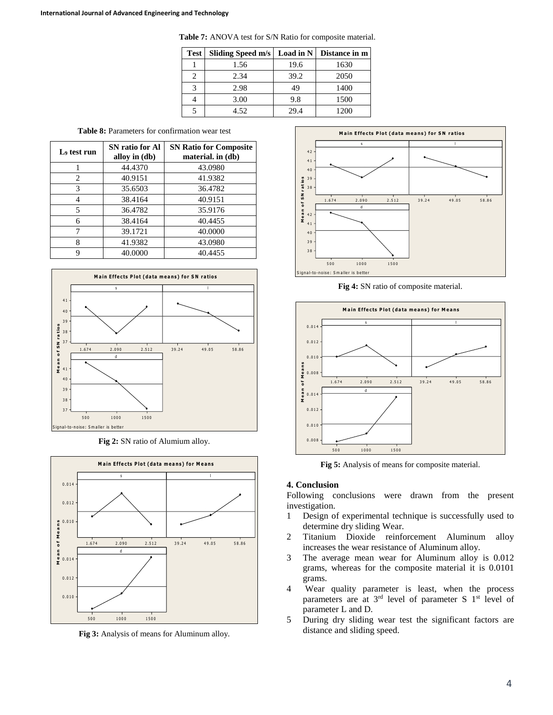| <b>Table 7:</b> ANOVA test for S/N Ratio for composite material. |  |
|------------------------------------------------------------------|--|
|------------------------------------------------------------------|--|

| <b>Test</b> | Sliding Speed m/s | Load in N | Distance in m |
|-------------|-------------------|-----------|---------------|
|             | 1.56              | 19.6      | 1630          |
|             | 2.34              | 39.2      | 2050          |
|             | 2.98              | 49        | 1400          |
|             | 3.00              | 9.8       | 1500          |
|             | 4.52              | 29.4      | 1200          |

**Table 8:** Parameters for confirmation wear test

| L <sub>9</sub> test run | SN ratio for Al<br>alloy in (db) | <b>SN Ratio for Composite</b><br>material. in (db) |
|-------------------------|----------------------------------|----------------------------------------------------|
|                         | 44.4370                          | 43.0980                                            |
| 2                       | 40.9151                          | 41.9382                                            |
| 3                       | 35.6503                          | 36.4782                                            |
| 4                       | 38.4164                          | 40.9151                                            |
| 5                       | 36.4782                          | 35.9176                                            |
| 6                       | 38.4164                          | 40.4455                                            |
|                         | 39.1721                          | 40.0000                                            |
| 8                       | 41.9382                          | 43.0980                                            |
| 9                       | 40.0000                          | 40.4455                                            |



**Fig 2:** SN ratio of Alumium alloy.



**Fig 3:** Analysis of means for Aluminum alloy.



**Fig 4:** SN ratio of composite material.



**Fig 5:** Analysis of means for composite material.

#### **4. Conclusion**

Following conclusions were drawn from the present investigation.

- 1 Design of experimental technique is successfully used to determine dry sliding Wear.
- 2 Titanium Dioxide reinforcement Aluminum alloy increases the wear resistance of Aluminum alloy.
- 3 The average mean wear for Aluminum alloy is 0.012 grams, whereas for the composite material it is 0.0101 grams.
- 4 Wear quality parameter is least, when the process parameters are at  $3<sup>rd</sup>$  level of parameter S  $1<sup>st</sup>$  level of parameter L and D.
- 5 During dry sliding wear test the significant factors are distance and sliding speed.